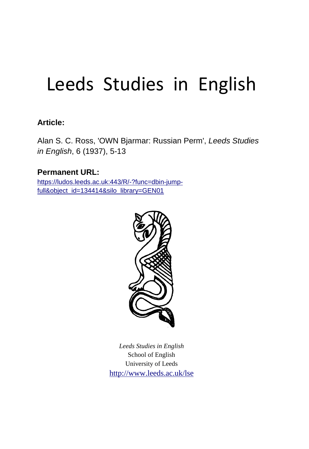## Leeds Studies in English

## **Article:**

Alan S. C. Ross, 'OWN Bjarmar: Russian Perm', *Leeds Studies in English*, 6 (1937), 5-13

## **Permanent URL:**

https://ludos.leeds.ac.uk:443/R/-?func=dbin-jumpfull&object\_id=134414&silo\_library=GEN01



*Leeds Studies in English* School of English University of Leeds http://www.leeds.ac.uk/lse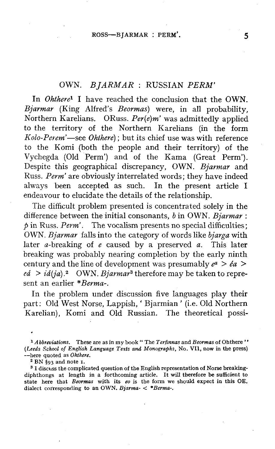## OWN. *BJARMAR* : RUSSIAN *PERM'*

In *Ohthere<sup>1</sup>* I have reached the conclusion that the OWN. *Bjarmar* (King Alfred's *Beormas)* were, in all probability, Northern Karelians. ORuss. *Per(e)m'* was admittedly applied to the territory of the Northern Karelians (in the form *Kolo-Perem'*—see *Ohthere)*; but its chief use was with reference to the Komi (both the people and their territory) of the Vychegda (Old Perm') and of the Kama (Great Perm'). Despite this geographical discrepancy, OWN. *Bjarmar* and Russ. *Perm'* are obviously interrelated words; they have indeed always been accepted as such. In the present article I endeavour to elucidate the details of the relationship.

The difficult problem presented is concentrated solely in the difference between the initial consonants, *b* in OWN. *Bjarmar : p* in Russ. *Perm'.* The vocalism presents no special difficulties; OWN. *Bjarmar* falls into the category of words like *bjarga* with later a-breaking of *e* caused by a preserved *a.* This later breaking was probably nearing completion by the early ninth century and the line of development was presumably  $e^a > e^a$  $e\acute{a}$  >  $i\acute{a}(ja)$ .<sup>2</sup> OWN. *Bjarmar*<sup>3</sup> therefore may be taken to represent an earlier *\*Berma-.* 

In the problem under discussion five languages play their part: Old West Norse, Lappish, ' Bjarmian ' (i.e. Old Northern Karelian), Komi and Old Russian. The theoretical possi-

<sup>1</sup> *A bbreviations.* These are as in my book " The *Terfinnas* and *Beormas* of Ohthere ' ' *(Leeds School of English Language Texts and Monographs,* No. VII, now in the press) —here quoted as *Ohthere.* 

 $2 \text{ BN } \hat{\S}$ 93 and note 1.

<sup>3</sup> I discuss the complicated question of the English representation of Norse breakingdiphthongs at length in a forthcoming article. It will therefore be sufficient to state here that *Beormas* with its *eo* is the form we should expect in this OE. dialect corresponding to an OWN. *Bjarma- < \*Berma-.*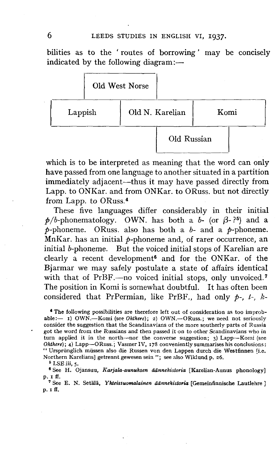bilities as to the ' routes of borrowing' may be concisely indicated by the following diagram:—



which is to be interpreted as meaning that the word can only have passed from one language to another situated in a partition immediately adjacent—-thus it may have passed directly from Lapp, to ONKar. and from ONKar. to ORuss. but not directly from Lapp, to ORuss.<sup>4</sup>

These five languages differ considerably in their initial  $p/b$ -phonematology. OWN. has both a  $b$ - (or  $\beta$ -?<sup>5</sup>) and a  $p$ -phoneme. ORuss. also has both a  $b$ - and a  $p$ -phoneme. MnKar. has an initial  $p$ -phoneme and, of rarer occurrence, an initial *b*-phoneme. But the voiced initial stops of Karelian are clearly a recent development<sup>6</sup> and for the ONKar. of the Bjarmar we may safely postulate a state of affairs identical with that of PrBF.—no voiced initial stops, only unvoiced.<sup>7</sup> The position in Komi is somewhat doubtful. It has often been considered that PrPermian, like PrBF., had only *p-, t-, k-*

*\** The following possibilities are therefore left out of consideration as too improbable:— 1) OWN.—Komi (see *Ohthere);* 2) OWN.—ORuss.; we need not seriously consider the suggestion that the Scandinavians of the more southerly parts of Russia got the word from the Russians and then passed it on to other Scandinavians who in turn applied it in the north—-nor the converse suggestion; 3) Lapp—-Komi (see *Ohthere*); 4) Lapp--ORuss.; Vasmer IV, 178 conveniently summarises his conclusions: " Ursprünglich müssen also die Russen von den Lappen durch die Westfinnen [i.e. Northern Karelians] getrennt gewesensein "; see also Wiklund p. 26.

<sup>5</sup> LSE iii, 5.

\* See H. Ojansuu, *Karjala-aunuksen adnnehistoria* [Karelian-Aunus phonology] p. 1 ff.

<sup>7</sup> See E. N. Setälä, Yhteissuomalainen äännehistoria [Gemeinfinnische Lautlehre] p. iff.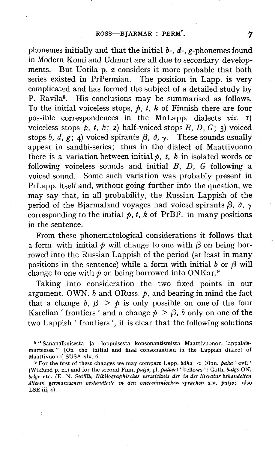phonemes initially and that the initial *b-, d-,* g-phonemes found in Modern Komi and Udmurt are all due to secondary developments. But Uotila p. 2 considers it more probable that both series existed in PrPermian. The position in Lapp, is very complicated and has formed the subject of a detailed study by P. Ravila<sup>8</sup>. His conclusions may be summarised as follows. To the initial voiceless stops, *p, t, k* of Finnish there are four possible correspondences in the MnLapp. dialects *viz.* i) voiceless stops  $p$ , t, k; 2) half-voiced stops  $B$ ,  $D$ ,  $G$ ; 3) voiced stops b, d, g; 4) voiced spirants  $\beta$ ,  $\delta$ ,  $\gamma$ . These sounds usually appear in sandhi-series; thus in the dialect of Maattivuono there is a variation between initial  $p$ ,  $t$ ,  $k$  in isolated words or following voiceless sounds and initial *B, D, G* following a voiced sound. Some such variation was probably present in PrLapp. itself and, without going further into the question, we may say that, in all probability, the Russian Lappish of the period of the Bjarmaland voyages had voiced spirants  $\beta$ ,  $\delta$ ,  $\gamma$ corresponding to the initial  $p$ ,  $t$ ,  $k$  of PrBF. in many positions in the sentence.

From these phonematological considerations it follows that a form with initial  $\phi$  will change to one with  $\beta$  on being borrowed into the Russian Lappish of the period (at least in many positions in the sentence) while a form with initial  $b$  or  $\beta$  will change to one with  $\phi$  on being borrowed into ONKar.<sup>9</sup>

Taking into consideration the two fixed points in our argument, OWN. *b* and ORuss. *p,* and bearing in mind the fact that a change b,  $\beta > \phi$  is only possible on one of the four Karelian ' frontiers' and a change  $p > \beta$ , b only on one of the two Lappish ' frontiers ', it is clear that the following solutions

<sup>8</sup> " Sananalkuisesta ja -loppuisesta konsonantismista Maattivuonon lappalaismurteessa" [On the initial and final consonantism in the Lappish dialect of Maattivuonol SUSA xlv. 6.

<sup>9</sup> For the first of these changes we may compare Lapp, *bdha* < Finn, *paha '* evil' (Wiklund p. 24) and for the second Finn, *palje,* pi. *palkeet'* bellows ': Goth, *balgs* ON. *belgr* etc. (E. N. Setala, *Bibliographisches verzeichnis der in der literatur behandelten alteren germanischen bestandteile in den ostseefinniscken sprachen* s.v. *palje;* also LSE iii, 4).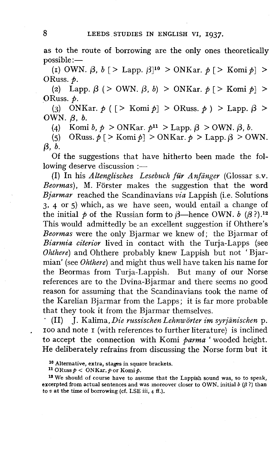as to the route of borrowing are the only ones theoretically possible:—

(1) OWN.  $\beta$ ,  $b$  [ > Lapp.  $\beta$ ]<sup>10</sup> > ONKar.  $p$  [ > Komi  $p$ ] > ORuss. *p.* 

(2) Lapp.  $\beta$  ( > OWN.  $\beta$ , *b*) > ONKar.  $p \leq$  Komi  $p \geq$ ORuss. *p.* 

(3) ONKar.  $p$  (  $\geq$  Komi  $p$ ]  $>$  ORuss.  $p$  )  $>$  Lapp.  $\beta$  > OWN.  $\beta$ ,  $b$ .

(4) Komi *b*,  $p > \text{ONKar. } p^{11} > \text{Lapp. } \beta > \text{OWN. } \beta, b.$ 

(5) ORuss.  $p \geq K$ omi $p$  > ONKar.  $p >$  Lapp.  $\beta$  > OWN.  $\beta$ ,  $b$ .

Of the suggestions that have hitherto been made the following deserve discussion :—

(I) In his *Altenglisches Lesebuch filr Anfanger* (Glossar s.v. Beormas), M. Förster makes the suggestion that the word *Bjarmar* reached the Scandinavians *via* Lappish (i.e. Solutions 3, 4 or 5) which, as we have seen, would entail a change of the initial  $\phi$  of the Russian form to  $\beta$ —hence OWN. *b* ( $\beta$ ?).<sup>12</sup> This would admittedly be an excellent suggestion if Ohthere's *Beormas* were the only Bjarmar we knew of; the Bjarmar of *Biarmia citerior* lived in contact with the Turja-Lapps (see *Ohthere)* and Ohthere probably knew Lappish but not ' Bjarmian' (see *Ohthere)* and might thus well have taken his name for the Beormas from Turja-Lappish. But many of our Norse references are to the Dvina-Bjarmar and there seems no good reason for assuming that the Scandinavians took the name of the Karelian Bjarmar from the Lapps; it is far more probable that they took it from the Bjarmar themselves.

(II) J. Kalima, *Die russischenLehnworter im syrjanischen* p. 100 and note 1 (with references to further literature) is inclined to accept the connection with Komi *parma '* wooded height. He deliberately refrains from discussing the Norse form but it

11 ORuss *p <* ONKar. *p* or Komi *p.* 

<sup>12</sup> We should of course have to assume that the Lappish sound was, so to speak, excerpted from actual sentences and was moreover closer to OWN, initial  $b(\beta)$  than to  $v$  at the time of borrowing (cf. LSE iii,  $4 \text{ ff.}$ ).

<sup>10</sup> Alternative, extra, stages in square brackets.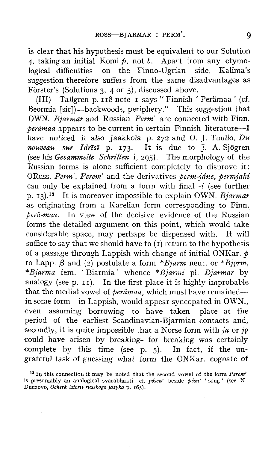is clear that his hypothesis must be equivalent to our Solution 4, taking an initial Komi *p,* not *b.* Apart from any etymological difficulties on the Finno-Ugrian side, Kalima's suggestion therefore suffers from the same disadvantages as Forster's (Solutions 3, 4 or 5), discussed above.

(Ill) Tallgren p. 118 note 1 says " Finnish ' Peramaa ' (cf. Beormia  $[sic]$  = backwoods, periphery." This suggestion that OWN. *Bjarmar* and Russian *Perm'* are connected with Finn. *•peramaa* appears to be current in certain Finnish literature—I have noticed it also Jaakkola p. 272 and O. J. Tuulio, *Du nouveau sur Idrisi* p. 173. It is due to J. A. Sjogren (see his *Gesammelte Schriften* i, 295). The morphology of the Russian forms is alone sufficient completely to disprove it: ORuss. Perm', Perem' and the derivatives perm-jane, permjaki can only be explained from a form with final *-i* (see further p. 13)-<sup>13</sup> It is moreover impossible to explain OWN. *Bjarmar*  as originating from a Karelian form corresponding to Finn. *pera-maa.* In view of the decisive evidence of the Russian forms the detailed argument on this point, which would take considerable space, may perhaps be dispensed with. It will suffice to say that we should have to  $(I)$  return to the hypothesis of a passage through Lappish with change of initial ONKar. *p*  to Lapp.  $\beta$  and (2) postulate a form \*Bjarm neut. or \*Bjorm, *\*Bjarma* fem. ' Biarmia' whence *\*Bjarmi* pi. *Bjarmar* by analogy (see p. 11). In the first place it is highly improbable that the medial vowel *oi peramaa,* which must have remained in some form—in Lappish, would appear syncopated in OWN., even assuming borrowing to have taken place at the period of the earliest Scandinavian-Bjarmian contacts and, secondly, it is quite impossible that a Norse form with *ja* or *jg*  could have arisen by breaking—for breaking was certainly complete by this time (see p. 5). In fact, if the ungrateful task of guessing what form the ONKar. cognate of

<sup>&</sup>lt;sup>13</sup> In this connection it may be noted that the second vowel of the form Perem' is presumably an analogical svarabhakti—cf. *pesen'* beside *pesn' '* song' (see N Durnovo, *Ocherk istorii russkogo jazyka* p. 165).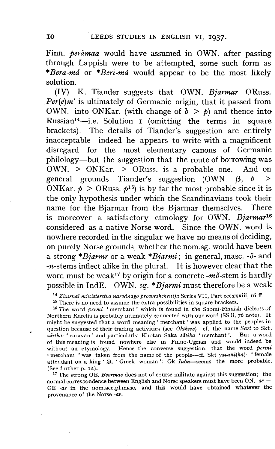Finn. *perämaa* would have assumed in OWN. after passing through Lappish were to be attempted, some such form as *\*Bera-md* or *\*Beri-md* would appear to be the most likely solution.

(IV) K. Tiander suggests that OWN. *Bjarmar* ORuss. *Per(e)m'* is ultimately of Germanic origin, that it passed from OWN. into ONKar. (with change of  $b > p$ ) and thence into Russian<sup>14</sup>—i.e. Solution i (omitting the terms in square brackets). The details of Tiander's suggestion are entirely inacceptable—indeed he appears to write with a magnificent disregard for the most elementary canons of Germanic philology—but the suggestion that the route of borrowing was OWN. > ONKar. > ORuss. is a probable one. And on general grounds Tiander's suggestion (OWN.  $\beta$ , *b* > ONKar.  $p >$  ORuss.  $p^{15}$  is by far the most probable since it is the only hypothesis under which the Scandinavians took their name for the Bjarmar from the Bjarmar themselves. There is moreover a satisfactory etmology for OWN. *Bjarmar<sup>16</sup>* considered as a native Norse word. Since the OWN. word is nowhere recorded in the singular we have no means of deciding, on purely Norse grounds, whether the nom.sg. would have been a strong *\*Bjarmr* or a weak *\*Bjarmi;* in general, masc. *-6-* and  $-n$ -stems inflect alike in the plural. It is however clear that the word must be weak<sup>17</sup> by origin for a concrete - $m\delta$ -stem is hardly possible in IndE. OWN. sg. *\*Bjarmi* must therefore be a weak

14  *Zhurnal ministerstva narodnago prosveshchenija* Series VII, Part cccxxxiii, 16 ff.

<sup>15</sup> There is no need to assume the extra possibilities in square brackets.

16 The word *permi '* merchant' which is found in the Suomi-Finnish dialects of Northern Karelia is probably intimately connected with our word (SS ii, 76 note). It might be suggested that a word meaning ' merchant' was applied to the peoples in question because of their trading activities (see *Ohthere)*—cf. the name *Sart* to Skt. *sartha- '* caravan ' and particularly Khotan Saka *sdtika '* merchant'. But a word of this meaning is found nowhere else in Finno-Ugrian and would indeed be without an etymology. Hence the converse suggestion, that the word *permi '* merchant ' was taken from the name of the people—cf. Skt *yavanl(ka)- '* female attendant on a king ' lit. ' Greek woman': Gk *Iaon*—seems the more probable. (See further p. 12).

17 The strong OE. *Beormas* does not of course militate against this suggestion; the normal correspondence between English and Norse speakers must have been ON. *-ar =*  OE *-as* in the nom.aec.pl.masc. and this would have obtained whatever the provenance of the Norse *-ar.*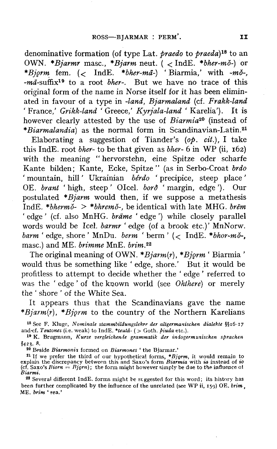denominative formation (of type Lat. *praedo* to *praeda)is* to an OWN. *\*Bjarmr* masc, *\*Bjarm* neut. ( < IndE. *\*bher-mo-)* or *\*Bjgrm* fern. (< IndE. *\*bher-md-) '* Biarmia,' with *-mo-,*  -ma-suffix<sup>19</sup> to a root *bher*-. But we have no trace of this original form of the name in Norse itself for it has been eliminated in favour of a type in *-land, Bjarmaland* (cf. *Frakk-land '* France,' *Grikk-land* ' Greece,' *Kyrjala-land '* Karelia'). It is however clearly attested by the use of *Biarmia<sup>20</sup>* (instead of *\*Biarmalandia)* as the normal form in Scandinavian-Latin.<sup>21</sup>

Elaborating a suggestion of Tiander's *{op. cit.),* I take this IndE. root *bher-* to be that given as *bher-* 6 in WP (ii, 162) with the meaning " hervorstehn, eine Spitze oder scharfe Kante bilden; Kante, Ecke, Spitze" (as in Serbo-Croat *brdo '* mountain, hill' Ukrainian *berdo '* precipice, steep place ' OE. *brant* 'high, steep' Olcel. *bord* 'margin, edge'). Our postulated *\*Bjarm* would then, if we suppose a metathesis IndE. *\*bhermo- > \*bhremo-,* be identical with late MHG. *brem '* edge ' (cf. also MnHG. *brdme '* edge') while closely parallel words would be Icel. *barmr '* edge (of a brook etc.)' MnNorw. *barm '* edge, shore ' MnDu. *berm '* berm ' (< IndE. *\*bhor-mo-,*  masc.) and ME. *brimme* MnE. *brim.<sup>22</sup>*

The original meaning of OWN. *\*Bjarm(r), \*Bjgrm '* Biarmia ' would thus be something like ' edge, shore.' But it would be profitless to attempt to decide whether the ' edge' referred to was the ' edge ' of the known world (see *Ohthere)* or merely the ' shore ' of the White Sea.

It appears thus that the Scandinavians gave the name *\*Bjarm(r), \*Bjgrm* to the country of the Northern Karelians

18 See F. Kluge, *Nominate stammbildungslehre der altgermanischen dialehte* §§16-17 and'cf. *Teutones* (i.e. weak) to IndE. *\*ieuta-* ( > Goth, *piuda* etc.).

1 9 K. Brugmann, *Kurze vergleichende grammatik der iniogermznischen sprachen*  §423- 8.

20 Beside *Biarmonii* formed on *Biarmones '* the Bjarmar.'

<sup>21</sup> If we prefer the third of our hypothetical forms, \**Bjorm*, it would remain to explain the discrepancy between this and Saxo's form *Biarmia* with *ia* instead of *io* (cf. Saxo's *Biorn* = *Bjorn*); the form might h *Biarmi.* 

22 Several different IndE. forms might be suggested for this word; its history has been further complicated by the influence of the unrelated (see WP ii, 159) OE. brim. ME. *brim* \* sea.'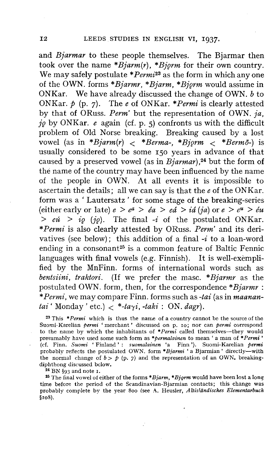and *Bjarmar* to these people themselves. The Bjarmar then took over the name *\*Bjarm(r), \*Bjgrm* for their own country. We may safely postulate *\*Permi<sup>23</sup>* as the form in which any one of the OWN. forms *\*Bjarmr, \*Bjarm, \*Bjgrm* would assume in ONKar. We have already discussed the change of OWN. *b* to ONKar. *p* (p. 7). The *e* of ONKar. *\*Permi* is clearly attested by that of ORuss. *Perm'* but the representation of OWN. *ja, jg* by ONKar. *e* again (cf. p. 5) confronts us with the difficult problem of Old Norse breaking. Breaking caused by a lost vowel (as in *\*Bjarm(r)* < *\*Berma-, \*Bjgrm* < *\*Bermo-)* is usually considered to be some 150 years in advance of that caused by a preserved vowel (as in *Bjarmar),2i* but the form of the name of the country may have been influenced by the name of the people in OWN. At all events it is impossible to ascertain the details; all we can say is that the *e* of the ONKar. form was a ' Lautersatz ' for some stage of the breaking-series (either early or late)  $e > e^a > e^a > e^a > i$  (ja) or  $e > e^u > e^u$ *> eu > ig (jg).* The final *-i* of the postulated ONKar. *\*Permi* is also clearly attested by ORuss. *Perm'* and its derivatives (see below); this addition of a final *-i* to a loan-word varives (see Berow), this addition of a main vice a foan word languages with final vowels (e.g. Finnish). It is well-exemplified by the MnFinn. forms of international words such as *bentsiini, traktori.* (If we prefer the masc. *\*Bjarmr* as the postulated OWN. form, then, for the correspondence *\*Bjarmr : \*Permi,* we may compare Finn, forms such as *-tai* (as in *maanantai* 'Monday' etc.)  $\langle *-ta_{\gamma}i, -taki : ON. \, \text{dagr} \rangle$ .

23 This *\*Permi* which is thus the name of a country cannot be the source of the Suomi-Karelian *permi* 'merchant' discussed on p. 10; nor can *permi* correspond to the name by which the inhabitants of *\*Permi* called themselves—they would presumably have used some such form as *\*permalainen* to mean ' a man of *\* Permi '*  (cf. Finn. *Suomi* ' Finland' : *suomalainen* 'a Finn'). Suomi-Karelian *permi*  probably reflects the postulated OWN. form *\*Bjarmi '* a Bjarmian ' directly—with the normal change of  $b > p$  (p. 7) and the representation of an OWN. breakingdiphthong discussed below.

 $24$  BN  $\S$ 93 and note 1.

25 The final vowel of either of the forms *\*Bjarm, \*Bjgrm* would have been lost a long time before the period of the Scandinavian-Bjarmian contacts; this change was probably complete bv the year 800 (see A. Heusler, *Altislandisches Elementarbuch*  §108).